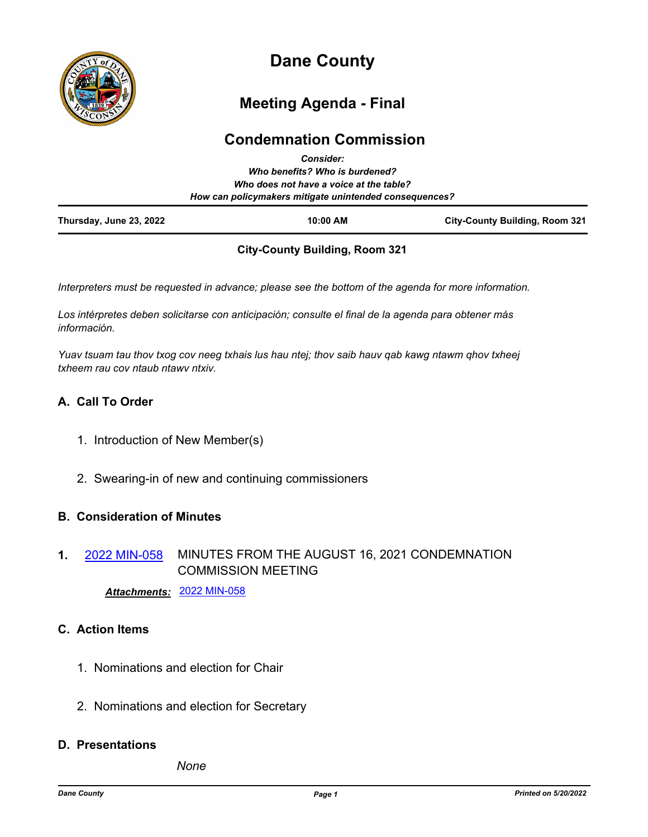

# **Dane County**

## **Meeting Agenda - Final**

## **Condemnation Commission**

| Thursday, June 23, 2022                                                                           | 10:00 AM                       | <b>City-County Building, Room 321</b> |
|---------------------------------------------------------------------------------------------------|--------------------------------|---------------------------------------|
| Who does not have a voice at the table?<br>How can policymakers mitigate unintended consequences? |                                |                                       |
|                                                                                                   | Who benefits? Who is burdened? |                                       |
|                                                                                                   | <b>Consider:</b>               |                                       |

### **City-County Building, Room 321**

*Interpreters must be requested in advance; please see the bottom of the agenda for more information.*

*Los intérpretes deben solicitarse con anticipación; consulte el final de la agenda para obtener más información.*

*Yuav tsuam tau thov txog cov neeg txhais lus hau ntej; thov saib hauv qab kawg ntawm qhov txheej txheem rau cov ntaub ntawv ntxiv.*

## **A. Call To Order**

- 1. Introduction of New Member(s)
- 2. Swearing-in of new and continuing commissioners

### **B. Consideration of Minutes**

MINUTES FROM THE AUGUST 16, 2021 CONDEMNATION COMMISSION MEETING **1.** [2022 MIN-058](http://dane.legistar.com/gateway.aspx?m=l&id=/matter.aspx?key=22881)

*Attachments:* [2022 MIN-058](http://dane.legistar.com/gateway.aspx?M=F&ID=dca68f83-62b1-4682-bd2b-9376eedc7bc0.pdf)

## **C. Action Items**

- 1. Nominations and election for Chair
- 2. Nominations and election for Secretary

## **D. Presentations**

*None*